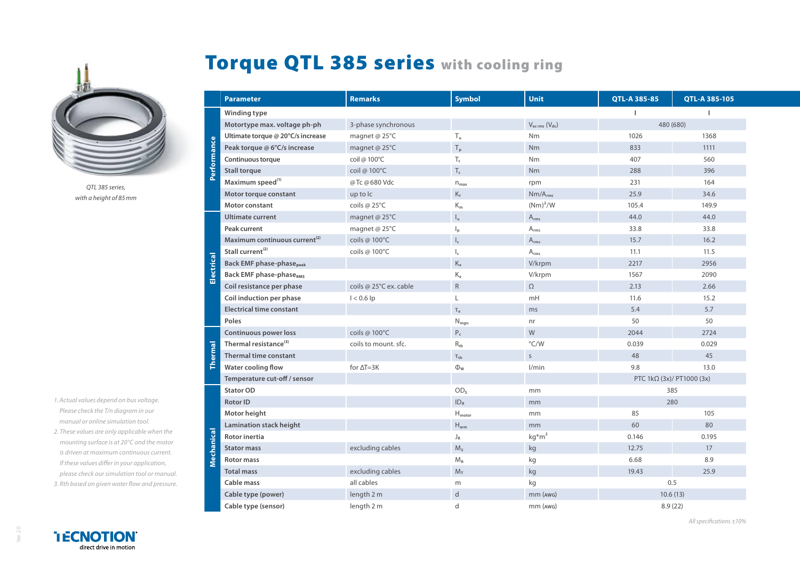

*QTL 385 series, with a height of 85mm*

- *1. Actual values depend on bus voltage. Please check the T/n diagram in our manual or online simulation tool.*
- *2. These values are only applicable when the mounting surface is at 20°C and the motor is driven at maximum continuous current. If these values differ in your application, please check our simulation tool or manual. 3. Rth based on given water flow and pressure.*

Ver. 2.0

## Torque QTL 385 series with cooling ring

|                | <b>Parameter</b>                            | <b>Remarks</b>                                | <b>Symbol</b>             | <b>Unit</b>  | <b>QTL-A 385-85</b>       | QTL-A 385-105 |
|----------------|---------------------------------------------|-----------------------------------------------|---------------------------|--------------|---------------------------|---------------|
| Performance    | Winding type                                |                                               |                           |              |                           |               |
|                | Motortype max. voltage ph-ph                | $V_{ac\,rms} (V_{dc})$<br>3-phase synchronous |                           | 480 (680)    |                           |               |
|                | Ultimate torque @ 20°C/s increase           | magnet @ 25°C                                 | $T_{u}$                   | Nm           | 1026                      | 1368          |
|                | Peak torque @ 6°C/s increase                | magnet @ $25^{\circ}$ C                       | $T_{\rm p}$               | <b>Nm</b>    | 833                       | 1111          |
|                | Continuous torque                           | coil@100°C                                    | $T_c$                     | Nm           | 407                       | 560           |
|                | <b>Stall torque</b>                         | coil @ 100°C                                  | $T_{s}$                   | Nm           | 288                       | 396           |
|                | Maximum speed <sup>(1)</sup>                | @Tc@680Vdc                                    | $n_{\text{max}}$          | rpm          | 231                       | 164           |
|                | Motor torque constant                       | up to Ic                                      | $\mathsf{K}_\mathsf{t}$   | $Nm/A_{rms}$ | 25.9                      | 34.6          |
|                | Motor constant                              | coils @ 25°C                                  | $K_m$                     | $(Nm)^2/W$   | 105.4                     | 149.9         |
| Electrical     | <b>Ultimate current</b>                     | magnet @ 25°C                                 | $I_u$                     | $A_{rms}$    | 44.0                      | 44.0          |
|                | Peak current                                | magnet @ $25^{\circ}$ C                       | $\mathsf{I}_{\mathsf{p}}$ | $A_{rms}$    | 33.8                      | 33.8          |
|                | Maximum continuous current <sup>(2)</sup>   | coils @ 100°C                                 | $\mathsf{I}_\mathsf{c}$   | $A_{rms}$    | 15.7                      | 16.2          |
|                | Stall current <sup>(2)</sup>                | coils @ 100°C                                 | $\mathsf{I}_{\mathsf{s}}$ | $A_{rms}$    | 11.1                      | 11.5          |
|                | <b>Back EMF phase-phase</b> <sub>peak</sub> |                                               | $\rm K_e$                 | V/krpm       | 2217                      | 2956          |
|                | <b>Back EMF phase-phaseRMS</b>              |                                               | $\rm K_e$                 | V/krpm       | 1567                      | 2090          |
|                | Coil resistance per phase                   | coils @ 25°C ex. cable                        | $\mathsf{R}$              | $\Omega$     | 2.13                      | 2.66          |
|                | Coil induction per phase                    | $I < 0.6$ lp                                  | L                         | mH           | 11.6                      | 15.2          |
|                | <b>Electrical time constant</b>             |                                               | $\tau_e$                  | ms           | 5.4                       | 5.7           |
|                | Poles                                       |                                               | $N_{\text{map}}$          | nr           | 50                        | 50            |
| <b>Thermal</b> | <b>Continuous power loss</b>                | coils @ 100°C                                 | $P_c$                     | W            | 2044                      | 2724          |
|                | Thermal resistance <sup>(3)</sup>           | coils to mount, sfc.                          | $R_{\rm th}$              | °C/W         | 0.039                     | 0.029         |
|                | <b>Thermal time constant</b>                |                                               | $\tau_{\text{th}}$        | $\sf S$      | 48                        | 45            |
|                | Water cooling flow                          | for $\Delta T = 3K$                           | $\Phi_{W}$                | l/min        | 9.8                       | 13.0          |
|                | Temperature cut-off / sensor                |                                               |                           |              | PTC 1kΩ (3x)/ PT1000 (3x) |               |
| Mechanical     | <b>Stator OD</b>                            |                                               | OD <sub>s</sub>           | mm           | 385                       |               |
|                | <b>Rotor ID</b>                             |                                               | ID <sub>R</sub>           | mm           | 280                       |               |
|                | Motor height                                |                                               | $H_{motor}$               | mm           | 85                        | 105           |
|                | Lamination stack height                     |                                               | $H_{arm}$                 | mm           | 60                        | 80            |
|                | <b>Rotor inertia</b>                        |                                               | $J_R$                     | $kg* m2$     | 0.146                     | 0.195         |
|                | <b>Stator mass</b>                          | excluding cables                              | $M_s$                     | kg           | 12.75                     | 17            |
|                | <b>Rotor mass</b>                           |                                               | $M_R$                     | kg           | 6.68                      | 8.9           |
|                | <b>Total mass</b>                           | excluding cables                              | $M_T$                     | kg           | 19.43                     | 25.9          |
|                | Cable mass                                  | all cables                                    | m                         | kg           | 0.5                       |               |
|                | Cable type (power)                          | length 2 m                                    | $\mathsf{d}$              | mm (AWG)     | 10.6(13)                  |               |
|                | Cable type (sensor)                         | length 2 m                                    | $\mathsf{d}$              | mm (AWG)     | 8.9(22)                   |               |

*All specifications ±10%*